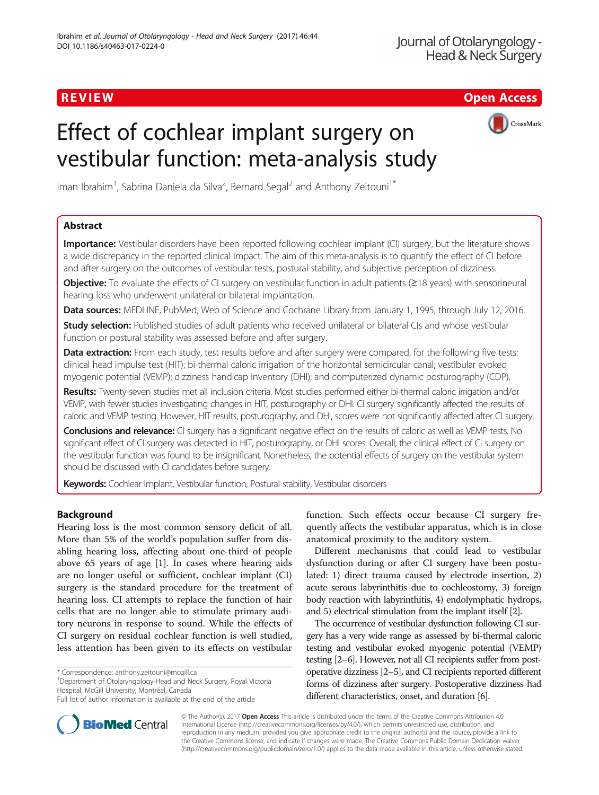## R EVI EW Open Access



# Effect of cochlear implant surgery on vestibular function: meta-analysis study

Iman Ibrahim<sup>1</sup>, Sabrina Daniela da Silva<sup>2</sup>, Bernard Segal<sup>2</sup> and Anthony Zeitouni<sup>1\*</sup>

## Abstract

**Importance:** Vestibular disorders have been reported following cochlear implant (CI) surgery, but the literature shows a wide discrepancy in the reported clinical impact. The aim of this meta-analysis is to quantify the effect of CI before and after surgery on the outcomes of vestibular tests, postural stability, and subjective perception of dizziness.

**Objective:** To evaluate the effects of CI surgery on vestibular function in adult patients ( $\geq$ 18 years) with sensorineural hearing loss who underwent unilateral or bilateral implantation.

Data sources: MEDLINE, PubMed, Web of Science and Cochrane Library from January 1, 1995, through July 12, 2016.

**Study selection:** Published studies of adult patients who received unilateral or bilateral CIs and whose vestibular function or postural stability was assessed before and after surgery.

Data extraction: From each study, test results before and after surgery were compared, for the following five tests: clinical head impulse test (HIT); bi-thermal caloric irrigation of the horizontal semicircular canal; vestibular evoked myogenic potential (VEMP); dizziness handicap inventory (DHI); and computerized dynamic posturography (CDP).

Results: Twenty-seven studies met all inclusion criteria. Most studies performed either bi-thermal caloric irrigation and/or VEMP, with fewer studies investigating changes in HIT, posturography or DHI. CI surgery significantly affected the results of caloric and VEMP testing. However, HIT results, posturography, and DHI, scores were not significantly affected after CI surgery.

Conclusions and relevance: CI surgery has a significant negative effect on the results of caloric as well as VEMP tests. No significant effect of CI surgery was detected in HIT, posturography, or DHI scores. Overall, the clinical effect of CI surgery on the vestibular function was found to be insignificant. Nonetheless, the potential effects of surgery on the vestibular system should be discussed with CI candidates before surgery.

Keywords: Cochlear Implant, Vestibular function, Postural stability, Vestibular disorders

## Background

Hearing loss is the most common sensory deficit of all. More than 5% of the world's population suffer from disabling hearing loss, affecting about one-third of people above 65 years of age [\[1](#page-8-0)]. In cases where hearing aids are no longer useful or sufficient, cochlear implant (CI) surgery is the standard procedure for the treatment of hearing loss. CI attempts to replace the function of hair cells that are no longer able to stimulate primary auditory neurons in response to sound. While the effects of CI surgery on residual cochlear function is well studied, less attention has been given to its effects on vestibular

Department of Otolaryngology-Head and Neck Surgery, Royal Victoria Hospital, McGill University, Montréal, Canada

function. Such effects occur because CI surgery frequently affects the vestibular apparatus, which is in close anatomical proximity to the auditory system.

Different mechanisms that could lead to vestibular dysfunction during or after CI surgery have been postulated: 1) direct trauma caused by electrode insertion, 2) acute serous labyrinthitis due to cochleostomy, 3) foreign body reaction with labyrinthitis, 4) endolymphatic hydrops, and 5) electrical stimulation from the implant itself [[2](#page-9-0)].

The occurrence of vestibular dysfunction following CI surgery has a very wide range as assessed by bi-thermal caloric testing and vestibular evoked myogenic potential (VEMP) testing [\[2](#page-9-0)–[6](#page-9-0)]. However, not all CI recipients suffer from postoperative dizziness [\[2](#page-9-0)–[5](#page-9-0)], and CI recipients reported different forms of dizziness after surgery. Postoperative dizziness had different characteristics, onset, and duration [[6](#page-9-0)].



© The Author(s). 2017 **Open Access** This article is distributed under the terms of the Creative Commons Attribution 4.0 International License [\(http://creativecommons.org/licenses/by/4.0/](http://creativecommons.org/licenses/by/4.0/)), which permits unrestricted use, distribution, and reproduction in any medium, provided you give appropriate credit to the original author(s) and the source, provide a link to the Creative Commons license, and indicate if changes were made. The Creative Commons Public Domain Dedication waiver [\(http://creativecommons.org/publicdomain/zero/1.0/](http://creativecommons.org/publicdomain/zero/1.0/)) applies to the data made available in this article, unless otherwise stated.

<sup>\*</sup> Correspondence: [anthony.zeitouni@mcgill.ca](mailto:anthony.zeitouni@mcgill.ca) <sup>1</sup>

Full list of author information is available at the end of the article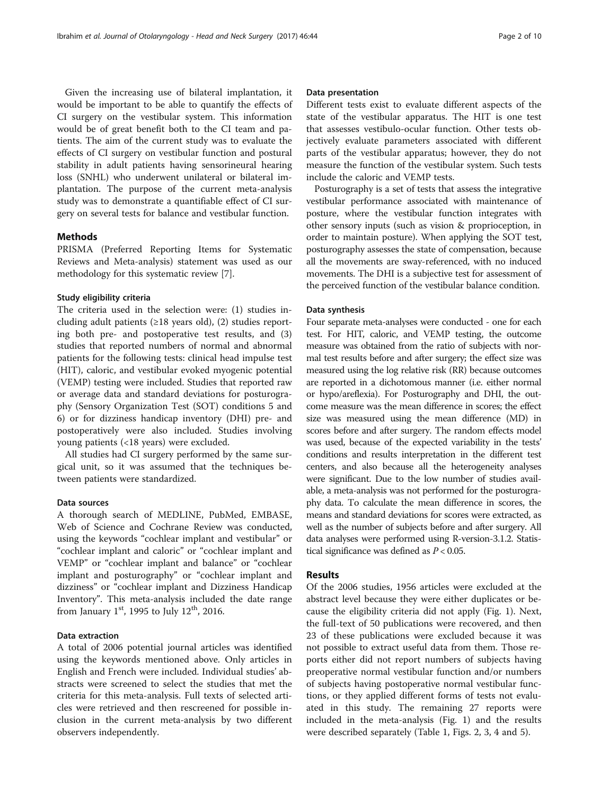Given the increasing use of bilateral implantation, it would be important to be able to quantify the effects of CI surgery on the vestibular system. This information would be of great benefit both to the CI team and patients. The aim of the current study was to evaluate the effects of CI surgery on vestibular function and postural stability in adult patients having sensorineural hearing loss (SNHL) who underwent unilateral or bilateral implantation. The purpose of the current meta-analysis study was to demonstrate a quantifiable effect of CI surgery on several tests for balance and vestibular function.

## Methods

PRISMA (Preferred Reporting Items for Systematic Reviews and Meta-analysis) statement was used as our methodology for this systematic review [\[7\]](#page-9-0).

### Study eligibility criteria

The criteria used in the selection were: (1) studies including adult patients ( $\geq$ 18 years old), (2) studies reporting both pre- and postoperative test results, and (3) studies that reported numbers of normal and abnormal patients for the following tests: clinical head impulse test (HIT), caloric, and vestibular evoked myogenic potential (VEMP) testing were included. Studies that reported raw or average data and standard deviations for posturography (Sensory Organization Test (SOT) conditions 5 and 6) or for dizziness handicap inventory (DHI) pre- and postoperatively were also included. Studies involving young patients (<18 years) were excluded.

All studies had CI surgery performed by the same surgical unit, so it was assumed that the techniques between patients were standardized.

### Data sources

A thorough search of MEDLINE, PubMed, EMBASE, Web of Science and Cochrane Review was conducted, using the keywords "cochlear implant and vestibular" or "cochlear implant and caloric" or "cochlear implant and VEMP" or "cochlear implant and balance" or "cochlear implant and posturography" or "cochlear implant and dizziness" or "cochlear implant and Dizziness Handicap Inventory". This meta-analysis included the date range from January  $1<sup>st</sup>$ , 1995 to July  $12<sup>th</sup>$ , 2016.

## Data extraction

A total of 2006 potential journal articles was identified using the keywords mentioned above. Only articles in English and French were included. Individual studies' abstracts were screened to select the studies that met the criteria for this meta-analysis. Full texts of selected articles were retrieved and then rescreened for possible inclusion in the current meta-analysis by two different observers independently.

#### Data presentation

Different tests exist to evaluate different aspects of the state of the vestibular apparatus. The HIT is one test that assesses vestibulo-ocular function. Other tests objectively evaluate parameters associated with different parts of the vestibular apparatus; however, they do not measure the function of the vestibular system. Such tests include the caloric and VEMP tests.

Posturography is a set of tests that assess the integrative vestibular performance associated with maintenance of posture, where the vestibular function integrates with other sensory inputs (such as vision & proprioception, in order to maintain posture). When applying the SOT test, posturography assesses the state of compensation, because all the movements are sway-referenced, with no induced movements. The DHI is a subjective test for assessment of the perceived function of the vestibular balance condition.

#### Data synthesis

Four separate meta-analyses were conducted - one for each test. For HIT, caloric, and VEMP testing, the outcome measure was obtained from the ratio of subjects with normal test results before and after surgery; the effect size was measured using the log relative risk (RR) because outcomes are reported in a dichotomous manner (i.e. either normal or hypo/areflexia). For Posturography and DHI, the outcome measure was the mean difference in scores; the effect size was measured using the mean difference (MD) in scores before and after surgery. The random effects model was used, because of the expected variability in the tests' conditions and results interpretation in the different test centers, and also because all the heterogeneity analyses were significant. Due to the low number of studies available, a meta-analysis was not performed for the posturography data. To calculate the mean difference in scores, the means and standard deviations for scores were extracted, as well as the number of subjects before and after surgery. All data analyses were performed using R-version-3.1.2. Statistical significance was defined as  $P < 0.05$ .

## Results

Of the 2006 studies, 1956 articles were excluded at the abstract level because they were either duplicates or because the eligibility criteria did not apply (Fig. [1](#page-2-0)). Next, the full-text of 50 publications were recovered, and then 23 of these publications were excluded because it was not possible to extract useful data from them. Those reports either did not report numbers of subjects having preoperative normal vestibular function and/or numbers of subjects having postoperative normal vestibular functions, or they applied different forms of tests not evaluated in this study. The remaining 27 reports were included in the meta-analysis (Fig. [1\)](#page-2-0) and the results were described separately (Table [1](#page-3-0), Figs. [2](#page-5-0), [3](#page-5-0), [4](#page-5-0) and [5](#page-5-0)).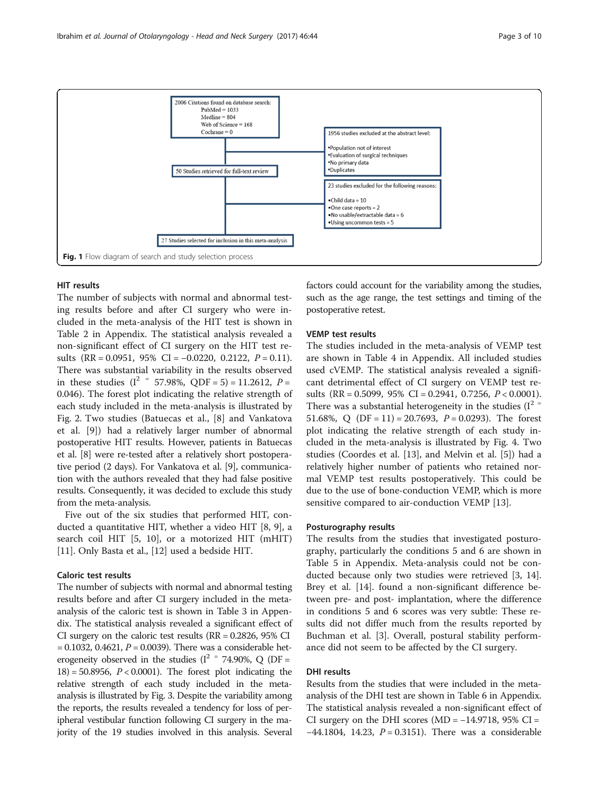<span id="page-2-0"></span>

## HIT results

The number of subjects with normal and abnormal testing results before and after CI surgery who were included in the meta-analysis of the HIT test is shown in Table 2 in [Appendix](#page-7-0). The statistical analysis revealed a non-significant effect of CI surgery on the HIT test results  $(RR = 0.0951, 95\% \text{ CI} = -0.0220, 0.2122, P = 0.11).$ There was substantial variability in the results observed in these studies ( $I^2 = 57.98\%$ , QDF = 5) = 11.2612, P = 0.046). The forest plot indicating the relative strength of each study included in the meta-analysis is illustrated by Fig. [2](#page-5-0). Two studies (Batuecas et al., [[8\]](#page-9-0) and Vankatova et al. [\[9](#page-9-0)]) had a relatively larger number of abnormal postoperative HIT results. However, patients in Batuecas et al. [[8\]](#page-9-0) were re-tested after a relatively short postoperative period (2 days). For Vankatova et al. [[9\]](#page-9-0), communication with the authors revealed that they had false positive results. Consequently, it was decided to exclude this study from the meta-analysis.

Five out of the six studies that performed HIT, conducted a quantitative HIT, whether a video HIT [\[8](#page-9-0), [9\]](#page-9-0), a search coil HIT [\[5](#page-9-0), [10](#page-9-0)], or a motorized HIT (mHIT) [[11\]](#page-9-0). Only Basta et al., [[12](#page-9-0)] used a bedside HIT.

## Caloric test results

The number of subjects with normal and abnormal testing results before and after CI surgery included in the metaanalysis of the caloric test is shown in Table 3 in [Appen](#page-7-0)[dix](#page-7-0). The statistical analysis revealed a significant effect of CI surgery on the caloric test results ( $RR = 0.2826$ ,  $95\%$  CI  $= 0.1032, 0.4621, P = 0.0039$ . There was a considerable heterogeneity observed in the studies ( $I^2$  = 74.90%, Q (DF =  $18$  = 50.8956,  $P < 0.0001$ ). The forest plot indicating the relative strength of each study included in the metaanalysis is illustrated by Fig. [3.](#page-5-0) Despite the variability among the reports, the results revealed a tendency for loss of peripheral vestibular function following CI surgery in the majority of the 19 studies involved in this analysis. Several factors could account for the variability among the studies, such as the age range, the test settings and timing of the postoperative retest.

## VEMP test results

The studies included in the meta-analysis of VEMP test are shown in Table 4 in [Appendix.](#page-7-0) All included studies used cVEMP. The statistical analysis revealed a significant detrimental effect of CI surgery on VEMP test results (RR = 0.5099, 95% CI = 0.2941, 0.7256,  $P < 0.0001$ ). There was a substantial heterogeneity in the studies ( $I^2$  = 51.68%, Q (DF = 11) = 20.7693,  $P = 0.0293$ ). The forest plot indicating the relative strength of each study included in the meta-analysis is illustrated by Fig. [4](#page-5-0). Two studies (Coordes et al. [\[13](#page-9-0)], and Melvin et al. [[5\]](#page-9-0)) had a relatively higher number of patients who retained normal VEMP test results postoperatively. This could be due to the use of bone-conduction VEMP, which is more sensitive compared to air-conduction VEMP [\[13](#page-9-0)].

### Posturography results

The results from the studies that investigated posturography, particularly the conditions 5 and 6 are shown in Table 5 in [Appendix](#page-7-0). Meta-analysis could not be conducted because only two studies were retrieved [\[3](#page-9-0), [14](#page-9-0)]. Brey et al. [[14\]](#page-9-0). found a non-significant difference between pre- and post- implantation, where the difference in conditions 5 and 6 scores was very subtle: These results did not differ much from the results reported by Buchman et al. [[3\]](#page-9-0). Overall, postural stability performance did not seem to be affected by the CI surgery.

## DHI results

Results from the studies that were included in the metaanalysis of the DHI test are shown in Table 6 in [Appendix](#page-7-0). The statistical analysis revealed a non-significant effect of CI surgery on the DHI scores (MD =  $-14.9718$ , 95% CI =  $-44.1804$ , 14.23,  $P = 0.3151$ ). There was a considerable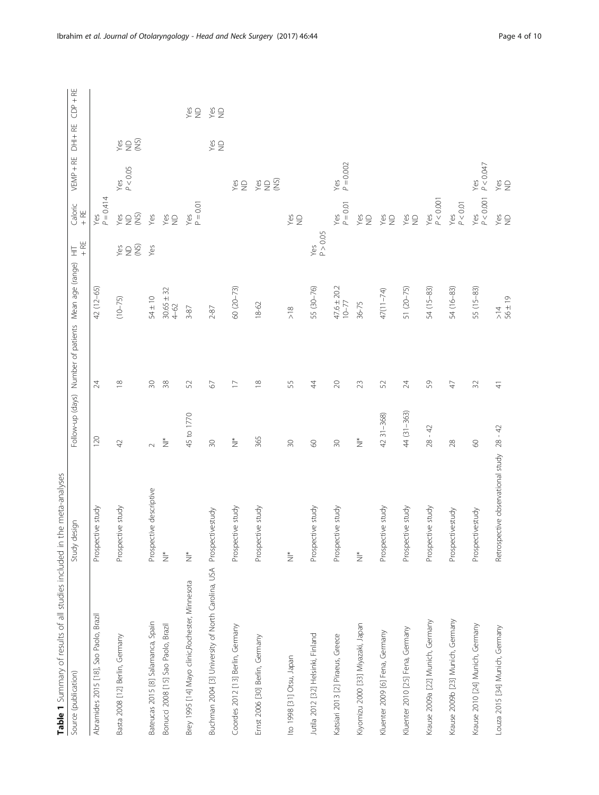<span id="page-3-0"></span>

| III DUDDUI CUDDIS IIB D-91DCU-<br>> IDI I III III III<br>u<br>Diplomation | cackles to the pit at the control         |                |                                                      |                            |                        |                               |                       |                                                                            |                                                  |
|---------------------------------------------------------------------------|-------------------------------------------|----------------|------------------------------------------------------|----------------------------|------------------------|-------------------------------|-----------------------|----------------------------------------------------------------------------|--------------------------------------------------|
| Source (publication)                                                      | Study design                              |                | Follow-up (days) Number of patients Mean age (range) |                            | $+$ RE<br>$\equiv$     | Caloric<br>+ RE               | VEMP + RE DHI+ RE     |                                                                            | $CDP + RE$                                       |
| Abramides 2015 [18], Sao Paolo, Brazil                                    | Prospective study                         | 120            | 24                                                   | 42 (12-65)                 |                        | $P = 0.414$<br>Yes            |                       |                                                                            |                                                  |
| Basta 2008 [12] Berlin, Germany                                           | Prospective study                         | $\overline{4}$ | $\approx$                                            | $(10 - 75)$                | S a g                  | S a≼                          | Yes<br>$P < 0.05$     | $\overset{\circ}{\succ} \overset{\circ}{\approx} \overset{\circ}{\approx}$ |                                                  |
| Bateucas 2015 [8] Salamanca, Spain                                        | Prospective descriptive                   | $\sim$         | $\Im$                                                | $54 \pm 10$                | Yes                    | Yes                           |                       |                                                                            |                                                  |
| Bonucci 2008 [15] Sao Paolo, Brazil                                       | $\frac{1}{2}$                             | $\frac{1}{2}$  | 38                                                   | $30.65 \pm 32$<br>4-62     |                        | Yes<br>$\epsilon$             |                       |                                                                            |                                                  |
| Brey 1995 [14] Mayo clinic, Rochester, Minnesota                          | $\frac{*}{\mathsf{Z}}$                    | 45 to 1770     | 52                                                   | $3 - 87$                   |                        | $P = 0.01$<br>Yes             |                       |                                                                            | $\overset{\circ}{\approx} \frac{\circ}{\approx}$ |
| Buchman 2004 [3] University of North Carolina, USA Prospectivestudy       |                                           | $\sqrt{30}$    | $\mathcal{O}$                                        | $2 - 87$                   |                        |                               |                       | $\overset{\circ}{\approx} \Xi$                                             | $\S$ $\S$                                        |
| Coordes 2012 [13] Berlin, Germany                                         | Prospective study                         | $\frac{1}{2}$  | $\Box$                                               | $60(20-73)$                |                        |                               | Ψů                    |                                                                            |                                                  |
| Ernst 2006 [30] Berlin, Germany                                           | Prospective study                         | 365            | $\approx$                                            | $18 - 62$                  |                        |                               | $\Sigma\in\mathbb{S}$ |                                                                            |                                                  |
| Ito 1998 [31] Otsu, Japan                                                 | $\frac{1}{2}$                             | $\approx$      | 55                                                   | $\geqslant$                |                        | S®≺                           |                       |                                                                            |                                                  |
| Jutila 2012 [32] Helsinki, Finland                                        | Prospective study                         | $\odot$        | 44                                                   | 55 (30-76)                 | $\frac{Yes}{P} > 0.05$ |                               |                       |                                                                            |                                                  |
| Katsiari 2013 [2] Piraeus, Greece                                         | Prospective study                         | $\infty$       | $\geqslant$                                          | $47.6 \pm 20.2$<br>$10-77$ |                        | $P = 0.01$<br>Yes             | Yes<br>$P = 0.002$    |                                                                            |                                                  |
| Kiyomizu 2000 [33] Miyazaki, Japan                                        | $\frac{1}{2}$                             | $\frac{1}{2}$  | 23                                                   | $36 - 75$                  |                        | 9≌                            |                       |                                                                            |                                                  |
| Kluenter 2009 [6] Fena, Germany                                           | Prospective study                         | 42 31-368)     | 52                                                   | 47(11-74)                  |                        | y≌<br>≥                       |                       |                                                                            |                                                  |
| Kluenter 2010 [25] Fena, Germany                                          | Prospective study                         | 44 (31-363)    | $\geqslant$                                          | 51 (20-75)                 |                        | $\overset{\circ}{\approx}\Xi$ |                       |                                                                            |                                                  |
| Krause 2009a [22] Munich, Germany                                         | Prospective study                         | $28 - 42$      | 59                                                   | 54 (15-83)                 |                        | $P < 0.001$<br>Yes            |                       |                                                                            |                                                  |
| Krause 2009b [23] Munich, Germany                                         | Prospectivestudy                          | 28             | 47                                                   | 54 (16-83)                 |                        | $P < 0.01$<br>Yes             |                       |                                                                            |                                                  |
| Krause 2010 [24] Munich, Germany                                          | Prospectivestudy                          | $\odot$        | 32                                                   | 55 (15-83)                 |                        | $YesP < 0.001$                | Yes<br>$P < 0.047$    |                                                                            |                                                  |
| Louza 2015 [34] Munich, Germany                                           | Retrospective observational study 28 - 42 |                | 4                                                    | $914$<br>56±19             |                        | Ves<br>ND                     | Š®<br>N               |                                                                            |                                                  |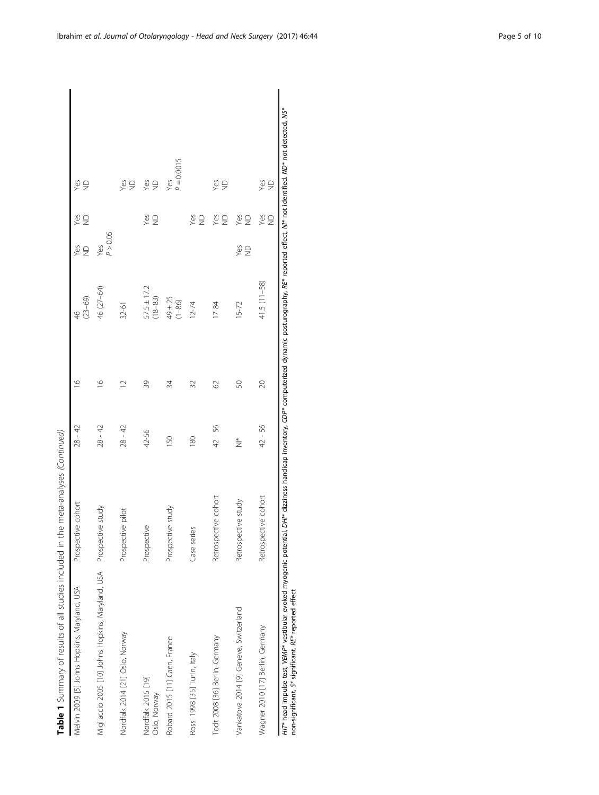| Table 1 Summary of results of all studies included in                                                                                                                                                                          | the meta-analyses (Continued) |                        |                |                            |                      |                      |                                                                                                                |
|--------------------------------------------------------------------------------------------------------------------------------------------------------------------------------------------------------------------------------|-------------------------------|------------------------|----------------|----------------------------|----------------------|----------------------|----------------------------------------------------------------------------------------------------------------|
| Melvin 2009 [5] Johns Hopkins, Maryland, USA                                                                                                                                                                                   | Prospective cohort            | $28 - 42$              | $\frac{6}{2}$  | $(23 - 69)$<br>46          | $\frac{1}{2}$<br>Yes | Yes<br>$\frac{0}{2}$ | S®                                                                                                             |
| Migliaccio 2005 [10] Johns Hopkins, Maryland, USA Prospective study                                                                                                                                                            |                               | $28 - 42$              | $\frac{6}{2}$  | 46 (27-64)                 | P > 0.05<br>Yes      |                      |                                                                                                                |
| Nordfalk 2014 [21] Oslo, Norway                                                                                                                                                                                                | Prospective pilot             | $28 - 42$              | $\overline{C}$ | $32 - 61$                  |                      |                      | Š®                                                                                                             |
| Nordfalk 2015 [19]<br>Oslo, Norway                                                                                                                                                                                             | Prospective                   | 42-56                  | 39             | $57.5 \pm 17.2$<br>(18-83) |                      | Ves<br>≥             | S®<br>S                                                                                                        |
| Robard 2015 [11] Caen, France                                                                                                                                                                                                  | Prospective study             | 150                    | 34             | $49 \pm 25$<br>$(1 - 86)$  |                      |                      | $P = 0.0015$<br>Yes                                                                                            |
| Rossi 1998 [35] Turin, Italy                                                                                                                                                                                                   | Case series                   | 180                    | 32             | $12 - 74$                  |                      | Ves<br>≥             |                                                                                                                |
| Todt 2008 [36] Berlin, Germany                                                                                                                                                                                                 | Retrospective cohort          | 42 - 56                | 62             | $17 - 84$                  |                      | Yes<br>$\supseteq$   | S®<br>M                                                                                                        |
| Vankatova 2014 [9] Geneve, Switzerland                                                                                                                                                                                         | Retrospective study           | $\stackrel{*}{\equiv}$ | 50             | $15 - 72$                  | Ves<br>≥             | S®≺                  |                                                                                                                |
| Wagner 2010 [17] Berlin, Germany                                                                                                                                                                                               | Retrospective cohort          | 42 - 56                | 20             | 41.5 (11-58)               |                      | Yes<br>$\supseteq$   | še                                                                                                             |
| 医三十二指肠 医二十二指肠 医二十二指肠 医二十二指肠 医二十二指肠 医二十二指肠 医二十二指肠 医二十二指肠 医二十二指肠 医二十二指肠 医二十二指肠 医二十二指肠 医二十二指肠 医二十二指肠 医二十二指肠 医二十二指肠 医二十二指肠 医二十二指肠 医二十二指肠 医二十二指肠 医二十二指肠 医二十二指肠 医二十二指肠 医二十二指肠 医二十二指肠 医二十二指肠 医二十二指肠 医二十二指肠 医二十二指肠 医二十二指肠 医二十二指肠 医二十二指 | and a company of the company  |                        |                |                            |                      |                      | *UV Transporter that the first theory of the first theory of the first theory of the first term of the first t |

HIT\* head impulse test, VEMP\* vestibular evoked myogenic potential, DHI\* dizziness handicap inventory, CDP\* computerized dynamic posturography, RE\* reported effect, NI\* not identified. ND\* not detected, NS\* not detected, NS\* H/T\* head impulse test, VEM*P\** vestibular evoked myogenic potential, *DHI\** dizziness handicap inventory, CDP\* computerized dynamic posturography, RE\* reported effect, NI\* not identified. ND\*<br>non-significant, S\* significa non-significant, S\* significant. RE\* reported effect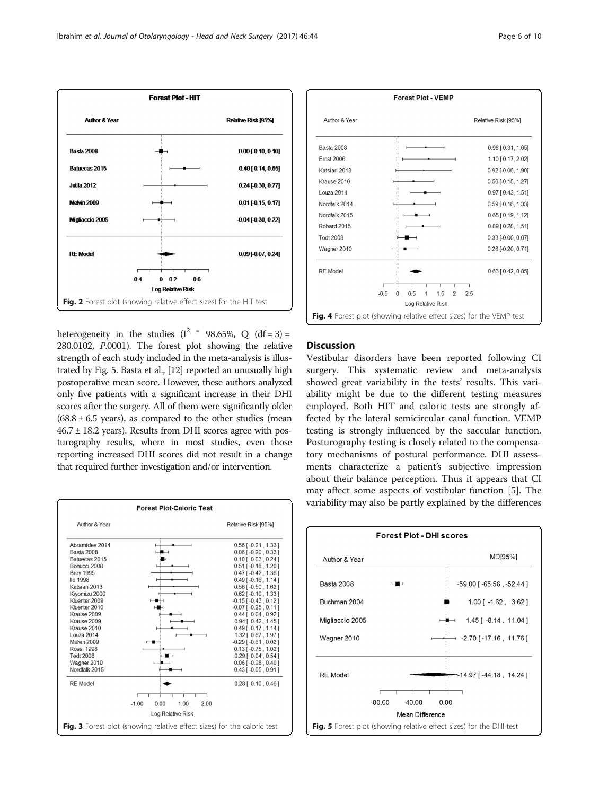<span id="page-5-0"></span>

heterogeneity in the studies ( $I^2$  = 98.65%, Q (df = 3) = 280.0102, P.0001). The forest plot showing the relative strength of each study included in the meta-analysis is illustrated by Fig. 5. Basta et al., [[12](#page-9-0)] reported an unusually high postoperative mean score. However, these authors analyzed only five patients with a significant increase in their DHI scores after the surgery. All of them were significantly older  $(68.8 \pm 6.5 \text{ years})$ , as compared to the other studies (mean  $46.7 \pm 18.2$  years). Results from DHI scores agree with posturography results, where in most studies, even those reporting increased DHI scores did not result in a change that required further investigation and/or intervention.





## **Discussion**

Vestibular disorders have been reported following CI surgery. This systematic review and meta-analysis showed great variability in the tests' results. This variability might be due to the different testing measures employed. Both HIT and caloric tests are strongly affected by the lateral semicircular canal function. VEMP testing is strongly influenced by the saccular function. Posturography testing is closely related to the compensatory mechanisms of postural performance. DHI assessments characterize a patient's subjective impression about their balance perception. Thus it appears that CI may affect some aspects of vestibular function [\[5](#page-9-0)]. The variability may also be partly explained by the differences

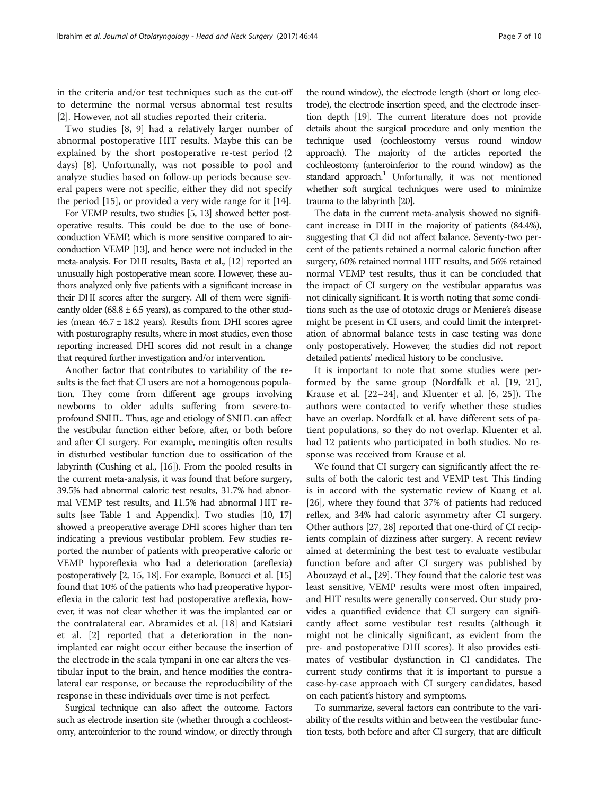in the criteria and/or test techniques such as the cut-off to determine the normal versus abnormal test results [[2\]](#page-9-0). However, not all studies reported their criteria.

Two studies [[8, 9](#page-9-0)] had a relatively larger number of abnormal postoperative HIT results. Maybe this can be explained by the short postoperative re-test period (2 days) [\[8](#page-9-0)]. Unfortunally, was not possible to pool and analyze studies based on follow-up periods because several papers were not specific, either they did not specify the period [[15\]](#page-9-0), or provided a very wide range for it [[14](#page-9-0)].

For VEMP results, two studies [\[5, 13\]](#page-9-0) showed better postoperative results. This could be due to the use of boneconduction VEMP, which is more sensitive compared to airconduction VEMP [\[13\]](#page-9-0), and hence were not included in the meta-analysis. For DHI results, Basta et al., [\[12](#page-9-0)] reported an unusually high postoperative mean score. However, these authors analyzed only five patients with a significant increase in their DHI scores after the surgery. All of them were significantly older (68.8  $\pm$  6.5 years), as compared to the other studies (mean 46.7 ± 18.2 years). Results from DHI scores agree with posturography results, where in most studies, even those reporting increased DHI scores did not result in a change that required further investigation and/or intervention.

Another factor that contributes to variability of the results is the fact that CI users are not a homogenous population. They come from different age groups involving newborns to older adults suffering from severe-toprofound SNHL. Thus, age and etiology of SNHL can affect the vestibular function either before, after, or both before and after CI surgery. For example, meningitis often results in disturbed vestibular function due to ossification of the labyrinth (Cushing et al., [\[16](#page-9-0)]). From the pooled results in the current meta-analysis, it was found that before surgery, 39.5% had abnormal caloric test results, 31.7% had abnormal VEMP test results, and 11.5% had abnormal HIT results [see Table [1](#page-3-0) and [Appendix](#page-7-0)]. Two studies [\[10, 17](#page-9-0)] showed a preoperative average DHI scores higher than ten indicating a previous vestibular problem. Few studies reported the number of patients with preoperative caloric or VEMP hyporeflexia who had a deterioration (areflexia) postoperatively [[2](#page-9-0), [15, 18\]](#page-9-0). For example, Bonucci et al. [\[15](#page-9-0)] found that 10% of the patients who had preoperative hyporeflexia in the caloric test had postoperative areflexia, however, it was not clear whether it was the implanted ear or the contralateral ear. Abramides et al. [\[18](#page-9-0)] and Katsiari et al. [\[2](#page-9-0)] reported that a deterioration in the nonimplanted ear might occur either because the insertion of the electrode in the scala tympani in one ear alters the vestibular input to the brain, and hence modifies the contralateral ear response, or because the reproducibility of the response in these individuals over time is not perfect.

Surgical technique can also affect the outcome. Factors such as electrode insertion site (whether through a cochleostomy, anteroinferior to the round window, or directly through the round window), the electrode length (short or long electrode), the electrode insertion speed, and the electrode insertion depth [\[19\]](#page-9-0). The current literature does not provide details about the surgical procedure and only mention the technique used (cochleostomy versus round window approach). The majority of the articles reported the cochleostomy (anteroinferior to the round window) as the standard approach.<sup>1</sup> Unfortunally, it was not mentioned whether soft surgical techniques were used to minimize trauma to the labyrinth [\[20\]](#page-9-0).

The data in the current meta-analysis showed no significant increase in DHI in the majority of patients (84.4%), suggesting that CI did not affect balance. Seventy-two percent of the patients retained a normal caloric function after surgery, 60% retained normal HIT results, and 56% retained normal VEMP test results, thus it can be concluded that the impact of CI surgery on the vestibular apparatus was not clinically significant. It is worth noting that some conditions such as the use of ototoxic drugs or Meniere's disease might be present in CI users, and could limit the interpretation of abnormal balance tests in case testing was done only postoperatively. However, the studies did not report detailed patients' medical history to be conclusive.

It is important to note that some studies were performed by the same group (Nordfalk et al. [[19, 21](#page-9-0)], Krause et al. [[22](#page-9-0)–[24](#page-9-0)], and Kluenter et al. [\[6](#page-9-0), [25\]](#page-9-0)). The authors were contacted to verify whether these studies have an overlap. Nordfalk et al. have different sets of patient populations, so they do not overlap. Kluenter et al. had 12 patients who participated in both studies. No response was received from Krause et al.

We found that CI surgery can significantly affect the results of both the caloric test and VEMP test. This finding is in accord with the systematic review of Kuang et al. [[26](#page-9-0)], where they found that 37% of patients had reduced reflex, and 34% had caloric asymmetry after CI surgery. Other authors [\[27, 28](#page-9-0)] reported that one-third of CI recipients complain of dizziness after surgery. A recent review aimed at determining the best test to evaluate vestibular function before and after CI surgery was published by Abouzayd et al., [\[29\]](#page-9-0). They found that the caloric test was least sensitive, VEMP results were most often impaired, and HIT results were generally conserved. Our study provides a quantified evidence that CI surgery can significantly affect some vestibular test results (although it might not be clinically significant, as evident from the pre- and postoperative DHI scores). It also provides estimates of vestibular dysfunction in CI candidates. The current study confirms that it is important to pursue a case-by-case approach with CI surgery candidates, based on each patient's history and symptoms.

To summarize, several factors can contribute to the variability of the results within and between the vestibular function tests, both before and after CI surgery, that are difficult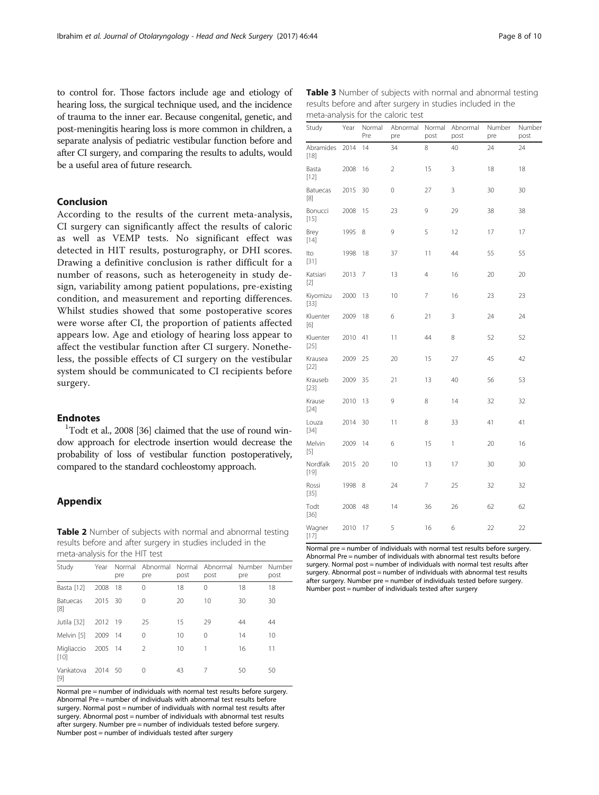<span id="page-7-0"></span>to control for. Those factors include age and etiology of hearing loss, the surgical technique used, and the incidence of trauma to the inner ear. Because congenital, genetic, and post-meningitis hearing loss is more common in children, a separate analysis of pediatric vestibular function before and after CI surgery, and comparing the results to adults, would be a useful area of future research.

## Conclusion

According to the results of the current meta-analysis, CI surgery can significantly affect the results of caloric as well as VEMP tests. No significant effect was detected in HIT results, posturography, or DHI scores. Drawing a definitive conclusion is rather difficult for a number of reasons, such as heterogeneity in study design, variability among patient populations, pre-existing condition, and measurement and reporting differences. Whilst studies showed that some postoperative scores were worse after CI, the proportion of patients affected appears low. Age and etiology of hearing loss appear to affect the vestibular function after CI surgery. Nonetheless, the possible effects of CI surgery on the vestibular system should be communicated to CI recipients before surgery.

## **Endnotes**

 $1$ Todt et al., 2008 [\[36\]](#page-9-0) claimed that the use of round window approach for electrode insertion would decrease the probability of loss of vestibular function postoperatively, compared to the standard cochleostomy approach.

## Appendix

Table 2 Number of subjects with normal and abnormal testing results before and after surgery in studies included in the meta-analysis for the HIT test

| Study              |         | pre  | Year Normal Abnormal Normal Abnormal<br>pre | post | post         | Number<br>pre | Number<br>post |
|--------------------|---------|------|---------------------------------------------|------|--------------|---------------|----------------|
| Basta [12]         | 2008    | -18  | 0                                           | 18   | $\mathbf{0}$ | 18            | 18             |
| Batuecas<br>[8]    | 2015 30 |      | $\Omega$                                    | 20   | 10           | 30            | 30             |
| Jutila [32]        | 2012 19 |      | 25                                          | 15   | 29           | 44            | 44             |
| Melvin [5]         | 2009    | - 14 | $\Omega$                                    | 10   | $\Omega$     | 14            | 10             |
| Migliaccio<br>[10] | 2005 14 |      | $\mathcal{P}$                               | 10   | 1            | 16            | 11             |
| Vankatova<br>[9]   | 2014 50 |      | 0                                           | 43   | 7            | 50            | 50             |

Normal pre = number of individuals with normal test results before surgery. Abnormal Pre = number of individuals with abnormal test results before surgery. Normal post = number of individuals with normal test results after surgery. Abnormal post = number of individuals with abnormal test results after surgery. Number pre = number of individuals tested before surgery. Number post = number of individuals tested after surgery

|  |                                    |  | Table 3 Number of subjects with normal and abnormal testing |  |
|--|------------------------------------|--|-------------------------------------------------------------|--|
|  |                                    |  | results before and after surgery in studies included in the |  |
|  | meta-analysis for the caloric test |  |                                                             |  |

| Study               | Year | Normal<br>Pre | Abnormal<br>pre | Normal<br>post | Abnormal<br>post | Number<br>pre | Number<br>post |
|---------------------|------|---------------|-----------------|----------------|------------------|---------------|----------------|
| Abramides<br>$[18]$ | 2014 | 14            | 34              | 8              | 40               | 24            | 24             |
| Basta<br>$[12]$     | 2008 | 16            | $\overline{2}$  | 15             | 3                | 18            | 18             |
| Batuecas<br>$[8]$   | 2015 | 30            | $\overline{0}$  | 27             | 3                | 30            | 30             |
| Bonucci<br>$[15]$   | 2008 | 15            | 23              | 9              | 29               | 38            | 38             |
| Brey<br>$[14]$      | 1995 | 8             | 9               | 5              | 12               | 17            | 17             |
| Ito<br>[31]         | 1998 | 18            | 37              | 11             | 44               | 55            | 55             |
| Katsiari<br>$[2]$   | 2013 | 7             | 13              | 4              | 16               | 20            | 20             |
| Kiyomizu<br>[33]    | 2000 | 13            | 10              | 7              | 16               | 23            | 23             |
| Kluenter<br>[6]     | 2009 | 18            | 6               | 21             | 3                | 24            | 24             |
| Kluenter<br>$[25]$  | 2010 | 41            | 11              | 44             | 8                | 52            | 52             |
| Krausea<br>$[22]$   | 2009 | 25            | 20              | 15             | 27               | 45            | 42             |
| Krauseb<br>[23]     | 2009 | 35            | 21              | 13             | 40               | 56            | 53             |
| Krause<br>$[24]$    | 2010 | 13            | 9               | 8              | 14               | 32            | 32             |
| Louza<br>[34]       | 2014 | 30            | 11              | 8              | 33               | 41            | 41             |
| Melvin<br>$[5]$     | 2009 | 14            | 6               | 15             | 1                | 20            | 16             |
| Nordfalk<br>$[19]$  | 2015 | 20            | 10              | 13             | 17               | 30            | 30             |
| Rossi<br>[35]       | 1998 | 8             | 24              | 7              | 25               | 32            | 32             |
| Todt<br>$[36]$      | 2008 | 48            | 14              | 36             | 26               | 62            | 62             |
| Wagner<br>[17]      | 2010 | 17            | 5               | 16             | 6                | 22            | 22             |

Normal pre = number of individuals with normal test results before surgery. Abnormal Pre = number of individuals with abnormal test results before surgery. Normal post = number of individuals with normal test results after surgery. Abnormal post = number of individuals with abnormal test results after surgery. Number pre = number of individuals tested before surgery. Number post = number of individuals tested after surgery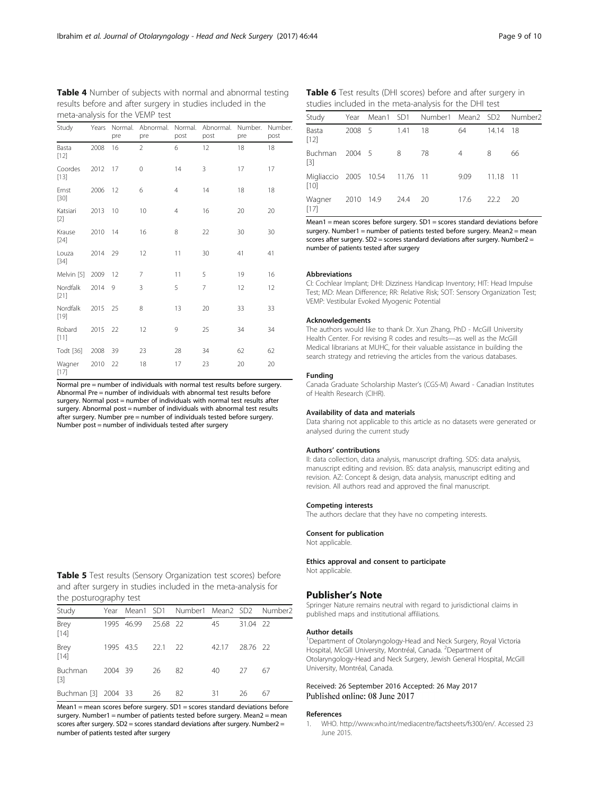<span id="page-8-0"></span>

| Table 4 Number of subjects with normal and abnormal testing |  |
|-------------------------------------------------------------|--|
| results before and after surgery in studies included in the |  |
| meta-analysis for the VEMP test                             |  |

| Study              |      | Years Normal.<br>pre | Abnormal.<br>pre | Normal.<br>post | Abnormal.<br>post | Number.<br>pre | Number.<br>post |
|--------------------|------|----------------------|------------------|-----------------|-------------------|----------------|-----------------|
| Basta<br>$[12]$    | 2008 | 16                   | $\overline{2}$   | 6               | 12                | 18             | 18              |
| Coordes<br>$[13]$  | 2012 | 17                   | $\mathbf{0}$     | 14              | 3                 | 17             | 17              |
| Ernst<br>$[30]$    | 2006 | 12                   | 6                | $\overline{4}$  | 14                | 18             | 18              |
| Katsiari<br>$[2]$  | 2013 | 10                   | 10               | $\overline{4}$  | 16                | 20             | 20              |
| Krause<br>$[24]$   | 2010 | - 14                 | 16               | 8               | 22                | 30             | 30              |
| Louza<br>$[34]$    | 2014 | 29                   | 12               | 11              | 30                | 41             | 41              |
| Melvin [5]         | 2009 | 12                   | 7                | 11              | 5                 | 19             | 16              |
| Nordfalk<br>$[21]$ | 2014 | 9                    | 3                | 5               | $\overline{7}$    | 12             | 12              |
| Nordfalk<br>$[19]$ | 2015 | 25                   | 8                | 13              | 20                | 33             | 33              |
| Robard<br>[11]     | 2015 | 22                   | 12               | 9               | 25                | 34             | 34              |
| Todt [36]          | 2008 | 39                   | 23               | 28              | 34                | 62             | 62              |
| Wagner<br>$[17]$   | 2010 | 22                   | 18               | 17              | 23                | 20             | 20              |

Normal pre = number of individuals with normal test results before surgery. Abnormal Pre = number of individuals with abnormal test results before surgery. Normal post = number of individuals with normal test results after surgery. Abnormal post = number of individuals with abnormal test results after surgery. Number pre = number of individuals tested before surgery. Number post = number of individuals tested after surgery

Table 5 Test results (Sensory Organization test scores) before and after surgery in studies included in the meta-analysis for the posturography test

| Study                   |         |                   |          | Year Mean1 SD1 Number1 Mean2 SD2 Number2 |      |          |    |
|-------------------------|---------|-------------------|----------|------------------------------------------|------|----------|----|
| Brey<br>$[14]$          |         | 1995 46.99        | 25.68 22 |                                          | 45   | 31.04 22 |    |
| <b>Brey</b><br>$[14]$   |         | 1995 43.5 22.1 22 |          |                                          | 4217 | 28.76 22 |    |
| <b>Buchman</b><br>$[3]$ | 2004 39 |                   | 26       | 82                                       | 40   | 27       | 67 |
| Buchman [3] 2004 33     |         |                   | 26       | 82.                                      | 31   | 26       | 67 |

Mean1 = mean scores before surgery. SD1 = scores standard deviations before surgery. Number1 = number of patients tested before surgery. Mean2 = mean scores after surgery. SD2 = scores standard deviations after surgery. Number2 = number of patients tested after surgery

Table 6 Test results (DHI scores) before and after surgery in studies included in the meta-analysis for the DHI test

| Study                                    |        |      | Year Mean1 SD1 Number1 Mean2 SD2 Number2 |      |       |       |
|------------------------------------------|--------|------|------------------------------------------|------|-------|-------|
| Basta<br>$[12]$                          | 2008 5 | 1.41 | 18                                       | 64   | 14.14 | - 18  |
| Buchman 2004 5<br>$\lceil 3 \rceil$      |        | - 8  | 78                                       | 4    | 8     | 66    |
| Migliaccio 2005 10.54 11.76 11<br>$[10]$ |        |      |                                          | 9.09 | 11.18 | $-11$ |
| Wagner 2010 14.9<br>$[17]$               |        | 24.4 | 20                                       | 17.6 | 22.2  | -20   |

Mean1 = mean scores before surgery. SD1 = scores standard deviations before surgery. Number1 = number of patients tested before surgery. Mean2 = mean  $s$  scores after surgery. SD2 = scores standard deviations after surgery. Number2 = number of patients tested after surgery

#### Abbreviations

CI: Cochlear Implant; DHI: Dizziness Handicap Inventory; HIT: Head Impulse Test; MD: Mean Difference; RR: Relative Risk; SOT: Sensory Organization Test; VEMP: Vestibular Evoked Myogenic Potential

#### Acknowledgements

The authors would like to thank Dr. Xun Zhang, PhD - McGill University Health Center. For revising R codes and results—as well as the McGill Medical librarians at MUHC, for their valuable assistance in building the search strategy and retrieving the articles from the various databases.

#### Funding

Canada Graduate Scholarship Master's (CGS-M) Award - Canadian Institutes of Health Research (CIHR).

#### Availability of data and materials

Data sharing not applicable to this article as no datasets were generated or analysed during the current study

#### Authors' contributions

II: data collection, data analysis, manuscript drafting. SDS: data analysis, manuscript editing and revision. BS: data analysis, manuscript editing and revision. AZ: Concept & design, data analysis, manuscript editing and revision. All authors read and approved the final manuscript.

#### Competing interests

The authors declare that they have no competing interests.

#### Consent for publication

Not applicable.

#### Ethics approval and consent to participate

Not applicable.

#### Publisher's Note

Springer Nature remains neutral with regard to jurisdictional claims in published maps and institutional affiliations.

#### Author details

<sup>1</sup>Department of Otolaryngology-Head and Neck Surgery, Royal Victoria Hospital, McGill University, Montréal, Canada. <sup>2</sup>Department of Otolaryngology-Head and Neck Surgery, Jewish General Hospital, McGill University, Montréal, Canada.

## Received: 26 September 2016 Accepted: 26 May 2017

#### References

1. WHO. [http://www.who.int/mediacentre/factsheets/fs300/en/.](http://www.who.int/mediacentre/factsheets/fs300/en/) Accessed 23 June 2015.